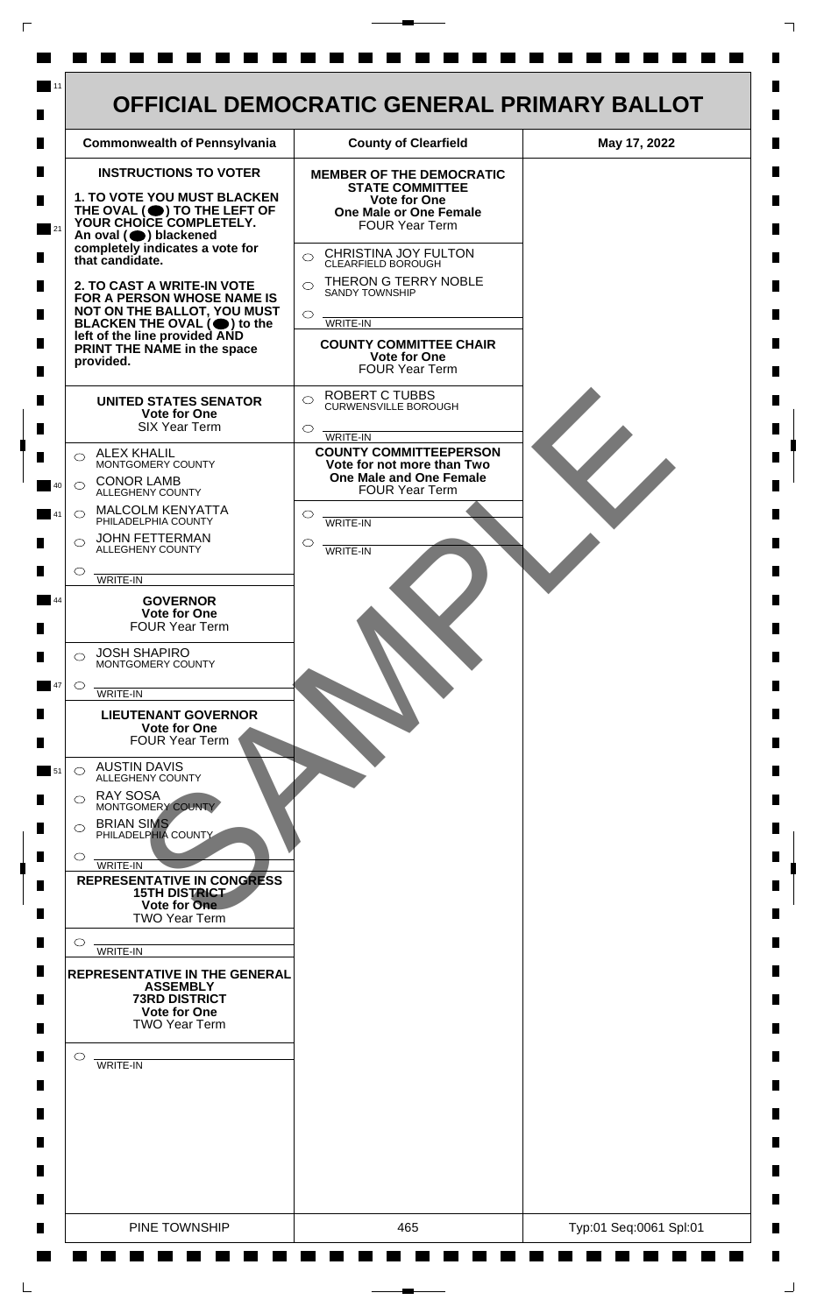

 $\mathsf{L}$